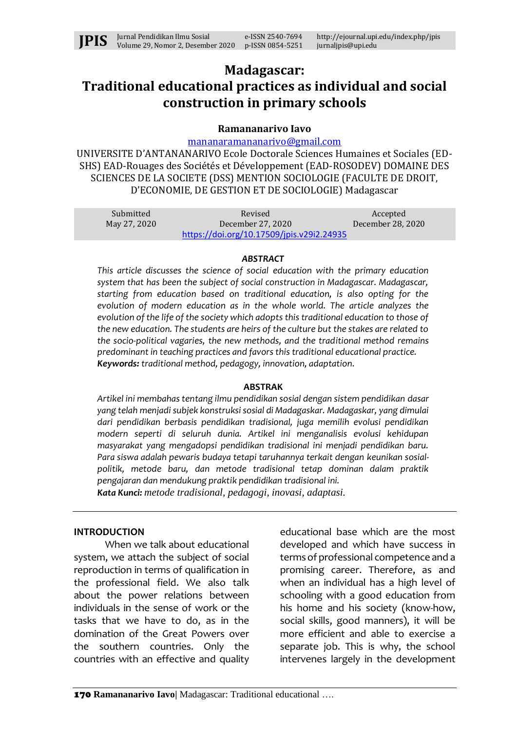

# **Madagascar: Traditional educational practices as individual and social construction in primary schools**

## **Ramananarivo Iavo**

[mananaramananarivo@gmail.com](mailto:mananaramananarivo@gmail.com)

UNIVERSITE D'ANTANANARIVO Ecole Doctorale Sciences Humaines et Sociales (ED-SHS) EAD-Rouages des Sociétés et Développement (EAD-ROSODEV) DOMAINE DES SCIENCES DE LA SOCIETE (DSS) MENTION SOCIOLOGIE (FACULTE DE DROIT, D'ECONOMIE, DE GESTION ET DE SOCIOLOGIE) Madagascar

| Submitted    | Revised                                   | Accepted          |
|--------------|-------------------------------------------|-------------------|
| May 27, 2020 | December 27, 2020                         | December 28, 2020 |
|              | https://doi.org/10.17509/jpis.v29i2.24935 |                   |

#### *ABSTRACT*

*This article discusses the science of social education with the primary education system that has been the subject of social construction in Madagascar. Madagascar, starting from education based on traditional education, is also opting for the evolution of modern education as in the whole world. The article analyzes the evolution of the life of the society which adopts this traditional education to those of the new education. The students are heirs of the culture but the stakes are related to the socio-political vagaries, the new methods, and the traditional method remains predominant in teaching practices and favors this traditional educational practice. Keywords: traditional method, pedagogy, innovation, adaptation.*

#### **ABSTRAK**

*Artikel ini membahas tentang ilmu pendidikan sosial dengan sistem pendidikan dasar yang telah menjadi subjek konstruksi sosial di Madagaskar. Madagaskar, yang dimulai dari pendidikan berbasis pendidikan tradisional, juga memilih evolusi pendidikan modern seperti di seluruh dunia. Artikel ini menganalisis evolusi kehidupan masyarakat yang mengadopsi pendidikan tradisional ini menjadi pendidikan baru. Para siswa adalah pewaris budaya tetapi taruhannya terkait dengan keunikan sosialpolitik, metode baru, dan metode tradisional tetap dominan dalam praktik pengajaran dan mendukung praktik pendidikan tradisional ini.*

*Kata Kunci: metode tradisional, pedagogi, inovasi, adaptasi.*

#### **INTRODUCTION**

When we talk about educational system, we attach the subject of social reproduction in terms of qualification in the professional field. We also talk about the power relations between individuals in the sense of work or the tasks that we have to do, as in the domination of the Great Powers over the southern countries. Only the countries with an effective and quality

educational base which are the most developed and which have success in terms of professional competence and a promising career. Therefore, as and when an individual has a high level of schooling with a good education from his home and his society (know-how, social skills, good manners), it will be more efficient and able to exercise a separate job. This is why, the school intervenes largely in the development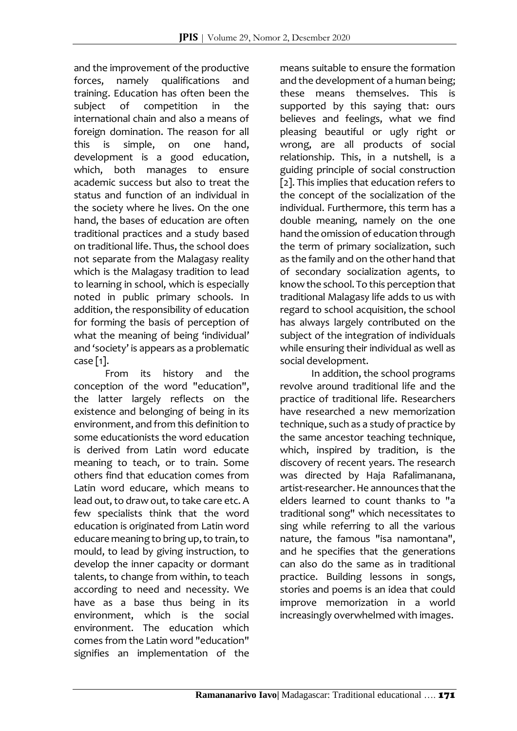and the improvement of the productive forces, namely qualifications and training. Education has often been the subject of competition in the international chain and also a means of foreign domination. The reason for all this is simple, on one hand, development is a good education, which, both manages to ensure academic success but also to treat the status and function of an individual in the society where he lives. On the one hand, the bases of education are often traditional practices and a study based on traditional life. Thus, the school does not separate from the Malagasy reality which is the Malagasy tradition to lead to learning in school, which is especially noted in public primary schools. In addition, the responsibility of education for forming the basis of perception of what the meaning of being 'individual' and 'society' is appears as a problematic case [1].

From its history and the conception of the word "education", the latter largely reflects on the existence and belonging of being in its environment, and from this definition to some educationists the word education is derived from Latin word educate meaning to teach, or to train. Some others find that education comes from Latin word educare, which means to lead out, to draw out, to take care etc. A few specialists think that the word education is originated from Latin word educare meaning to bring up, to train, to mould, to lead by giving instruction, to develop the inner capacity or dormant talents, to change from within, to teach according to need and necessity. We have as a base thus being in its environment, which is the social environment. The education which comes from the Latin word "education" signifies an implementation of the

means suitable to ensure the formation and the development of a human being; these means themselves. This is supported by this saying that: ours believes and feelings, what we find pleasing beautiful or ugly right or wrong, are all products of social relationship. This, in a nutshell, is a guiding principle of social construction [2]. This implies that education refers to the concept of the socialization of the individual. Furthermore, this term has a double meaning, namely on the one hand the omission of education through the term of primary socialization, such as the family and on the other hand that of secondary socialization agents, to know the school. To this perception that traditional Malagasy life adds to us with regard to school acquisition, the school has always largely contributed on the subject of the integration of individuals while ensuring their individual as well as social development.

In addition, the school programs revolve around traditional life and the practice of traditional life. Researchers have researched a new memorization technique, such as a study of practice by the same ancestor teaching technique, which, inspired by tradition, is the discovery of recent years. The research was directed by Haja Rafalimanana, artist-researcher. He announces that the elders learned to count thanks to "a traditional song" which necessitates to sing while referring to all the various nature, the famous "isa namontana", and he specifies that the generations can also do the same as in traditional practice. Building lessons in songs, stories and poems is an idea that could improve memorization in a world increasingly overwhelmed with images.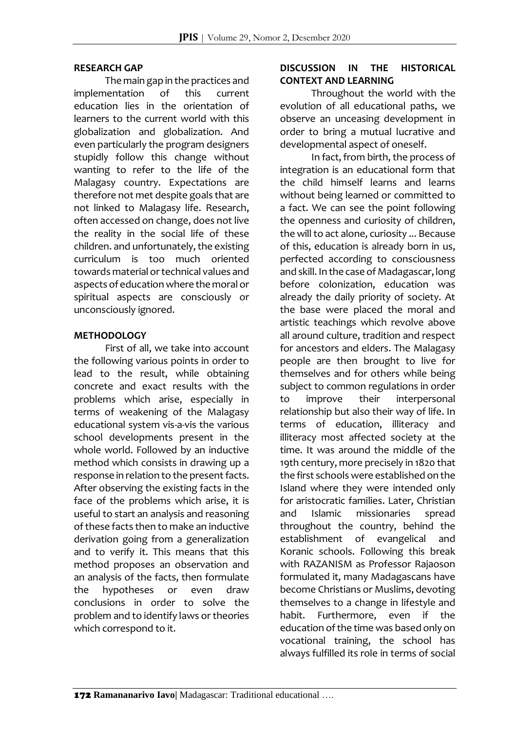### **RESEARCH GAP**

The main gap in the practices and implementation of this current education lies in the orientation of learners to the current world with this globalization and globalization. And even particularly the program designers stupidly follow this change without wanting to refer to the life of the Malagasy country. Expectations are therefore not met despite goals that are not linked to Malagasy life. Research, often accessed on change, does not live the reality in the social life of these children. and unfortunately, the existing curriculum is too much oriented towards material or technical values and aspects of education where the moral or spiritual aspects are consciously or unconsciously ignored.

## **METHODOLOGY**

First of all, we take into account the following various points in order to lead to the result, while obtaining concrete and exact results with the problems which arise, especially in terms of weakening of the Malagasy educational system vis-a-vis the various school developments present in the whole world. Followed by an inductive method which consists in drawing up a response in relation to the present facts. After observing the existing facts in the face of the problems which arise, it is useful to start an analysis and reasoning of these facts then to make an inductive derivation going from a generalization and to verify it. This means that this method proposes an observation and an analysis of the facts, then formulate the hypotheses or even draw conclusions in order to solve the problem and to identify laws or theories which correspond to it.

## **DISCUSSION IN THE HISTORICAL CONTEXT AND LEARNING**

Throughout the world with the evolution of all educational paths, we observe an unceasing development in order to bring a mutual lucrative and developmental aspect of oneself.

In fact, from birth, the process of integration is an educational form that the child himself learns and learns without being learned or committed to a fact. We can see the point following the openness and curiosity of children, the will to act alone, curiosity ... Because of this, education is already born in us, perfected according to consciousness and skill. In the case of Madagascar, long before colonization, education was already the daily priority of society. At the base were placed the moral and artistic teachings which revolve above all around culture, tradition and respect for ancestors and elders. The Malagasy people are then brought to live for themselves and for others while being subject to common regulations in order to improve their interpersonal relationship but also their way of life. In terms of education, illiteracy and illiteracy most affected society at the time. It was around the middle of the 19th century, more precisely in 1820 that the first schools were established on the Island where they were intended only for aristocratic families. Later, Christian and Islamic missionaries spread throughout the country, behind the establishment of evangelical and Koranic schools. Following this break with RAZANISM as Professor Rajaoson formulated it, many Madagascans have become Christians or Muslims, devoting themselves to a change in lifestyle and habit. Furthermore, even if the education of the time was based only on vocational training, the school has always fulfilled its role in terms of social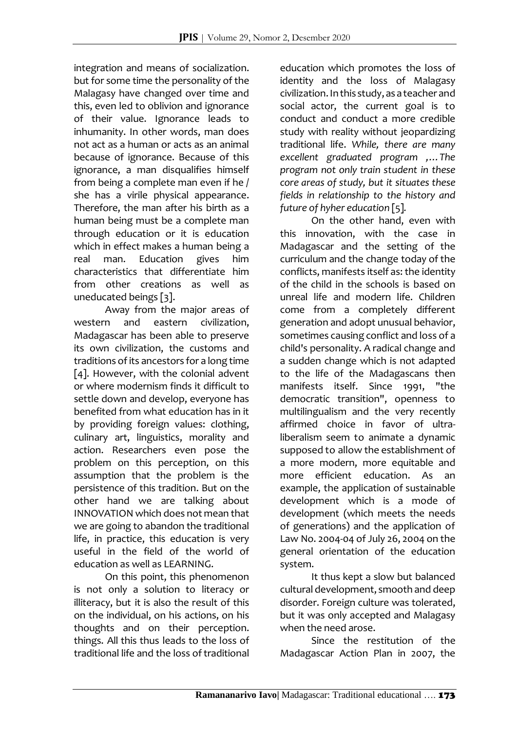integration and means of socialization. but for some time the personality of the Malagasy have changed over time and this, even led to oblivion and ignorance of their value. Ignorance leads to inhumanity. In other words, man does not act as a human or acts as an animal because of ignorance. Because of this ignorance, a man disqualifies himself from being a complete man even if he / she has a virile physical appearance. Therefore, the man after his birth as a human being must be a complete man through education or it is education which in effect makes a human being a real man. Education gives him characteristics that differentiate him from other creations as well as uneducated beings [3].

Away from the major areas of western and eastern civilization, Madagascar has been able to preserve its own civilization, the customs and traditions of its ancestors for a long time [4]. However, with the colonial advent or where modernism finds it difficult to settle down and develop, everyone has benefited from what education has in it by providing foreign values: clothing, culinary art, linguistics, morality and action. Researchers even pose the problem on this perception, on this assumption that the problem is the persistence of this tradition. But on the other hand we are talking about INNOVATION which does not mean that we are going to abandon the traditional life, in practice, this education is very useful in the field of the world of education as well as LEARNING.

On this point, this phenomenon is not only a solution to literacy or illiteracy, but it is also the result of this on the individual, on his actions, on his thoughts and on their perception. things. All this thus leads to the loss of traditional life and the loss of traditional

education which promotes the loss of identity and the loss of Malagasy civilization. In this study, as a teacher and social actor, the current goal is to conduct and conduct a more credible study with reality without jeopardizing traditional life. *While, there are many excellent graduated program ,…The program not only train student in these core areas of study, but it situates these fields in relationship to the history and future of hyher education* [5]*.*

On the other hand, even with this innovation, with the case in Madagascar and the setting of the curriculum and the change today of the conflicts, manifests itself as: the identity of the child in the schools is based on unreal life and modern life. Children come from a completely different generation and adopt unusual behavior, sometimes causing conflict and loss of a child's personality. A radical change and a sudden change which is not adapted to the life of the Madagascans then manifests itself. Since 1991, "the democratic transition", openness to multilingualism and the very recently affirmed choice in favor of ultraliberalism seem to animate a dynamic supposed to allow the establishment of a more modern, more equitable and more efficient education. As an example, the application of sustainable development which is a mode of development (which meets the needs of generations) and the application of Law No. 2004-04 of July 26, 2004 on the general orientation of the education system.

It thus kept a slow but balanced cultural development, smooth and deep disorder. Foreign culture was tolerated, but it was only accepted and Malagasy when the need arose.

Since the restitution of the Madagascar Action Plan in 2007, the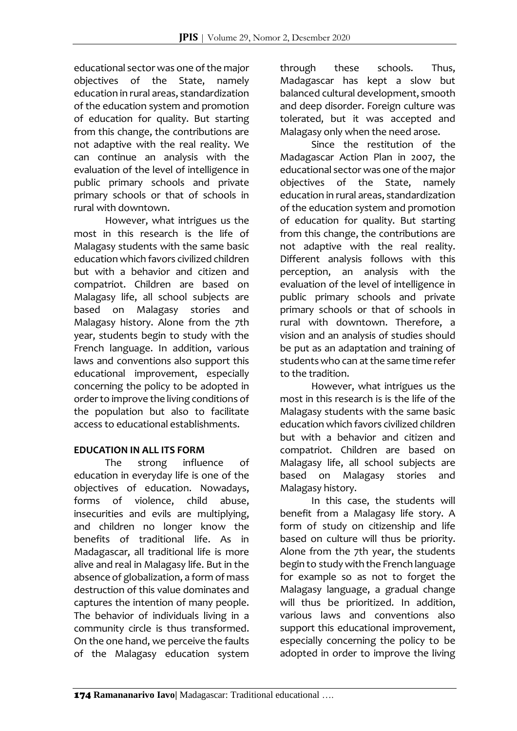educational sector was one of the major objectives of the State, namely education in rural areas, standardization of the education system and promotion of education for quality. But starting from this change, the contributions are not adaptive with the real reality. We can continue an analysis with the evaluation of the level of intelligence in public primary schools and private primary schools or that of schools in rural with downtown.

However, what intrigues us the most in this research is the life of Malagasy students with the same basic education which favors civilized children but with a behavior and citizen and compatriot. Children are based on Malagasy life, all school subjects are based on Malagasy stories and Malagasy history. Alone from the 7th year, students begin to study with the French language. In addition, various laws and conventions also support this educational improvement, especially concerning the policy to be adopted in order to improve the living conditions of the population but also to facilitate access to educational establishments.

# **EDUCATION IN ALL ITS FORM**

The strong influence of education in everyday life is one of the objectives of education. Nowadays, forms of violence, child abuse, insecurities and evils are multiplying, and children no longer know the benefits of traditional life. As in Madagascar, all traditional life is more alive and real in Malagasy life. But in the absence of globalization, a form of mass destruction of this value dominates and captures the intention of many people. The behavior of individuals living in a community circle is thus transformed. On the one hand, we perceive the faults of the Malagasy education system through these schools. Thus, Madagascar has kept a slow but balanced cultural development, smooth and deep disorder. Foreign culture was tolerated, but it was accepted and Malagasy only when the need arose.

Since the restitution of the Madagascar Action Plan in 2007, the educational sector was one of the major objectives of the State, namely education in rural areas, standardization of the education system and promotion of education for quality. But starting from this change, the contributions are not adaptive with the real reality. Different analysis follows with this perception, an analysis with the evaluation of the level of intelligence in public primary schools and private primary schools or that of schools in rural with downtown. Therefore, a vision and an analysis of studies should be put as an adaptation and training of students who can at the same time refer to the tradition.

However, what intrigues us the most in this research is is the life of the Malagasy students with the same basic education which favors civilized children but with a behavior and citizen and compatriot. Children are based on Malagasy life, all school subjects are based on Malagasy stories and Malagasy history.

In this case, the students will benefit from a Malagasy life story. A form of study on citizenship and life based on culture will thus be priority. Alone from the 7th year, the students begin to study with the French language for example so as not to forget the Malagasy language, a gradual change will thus be prioritized. In addition, various laws and conventions also support this educational improvement, especially concerning the policy to be adopted in order to improve the living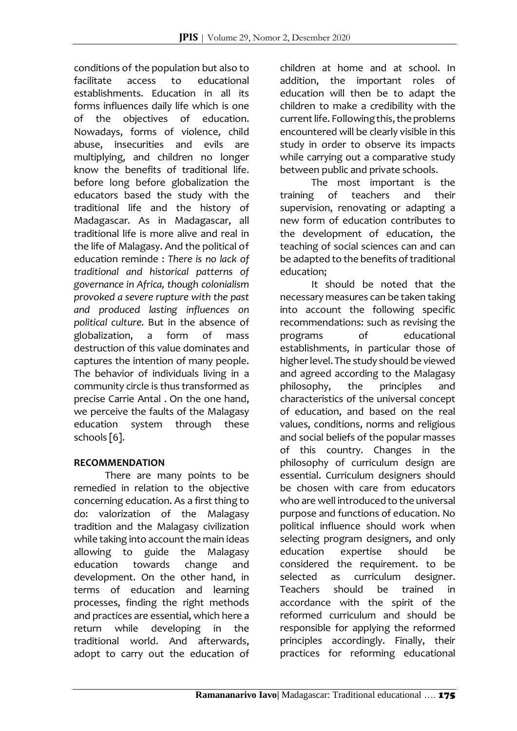conditions of the population but also to facilitate access to educational establishments. Education in all its forms influences daily life which is one of the objectives of education. Nowadays, forms of violence, child abuse, insecurities and evils are multiplying, and children no longer know the benefits of traditional life. before long before globalization the educators based the study with the traditional life and the history of Madagascar. As in Madagascar, all traditional life is more alive and real in the life of Malagasy. And the political of education reminde : *There is no lack of traditional and historical patterns of governance in Africa, though colonialism provoked a severe rupture with the past and produced lasting influences on political culture.* But in the absence of globalization, a form of mass destruction of this value dominates and captures the intention of many people. The behavior of individuals living in a community circle is thus transformed as precise Carrie Antal . On the one hand, we perceive the faults of the Malagasy education system through these schools [6].

# **RECOMMENDATION**

There are many points to be remedied in relation to the objective concerning education. As a first thing to do: valorization of the Malagasy tradition and the Malagasy civilization while taking into account the main ideas allowing to guide the Malagasy education towards change and development. On the other hand, in terms of education and learning processes, finding the right methods and practices are essential, which here a return while developing in the traditional world. And afterwards, adopt to carry out the education of

children at home and at school. In addition, the important roles of education will then be to adapt the children to make a credibility with the current life. Following this, the problems encountered will be clearly visible in this study in order to observe its impacts while carrying out a comparative study between public and private schools.

The most important is the training of teachers and their supervision, renovating or adapting a new form of education contributes to the development of education, the teaching of social sciences can and can be adapted to the benefits of traditional education;

It should be noted that the necessary measures can be taken taking into account the following specific recommendations: such as revising the programs of educational establishments, in particular those of higher level. The study should be viewed and agreed according to the Malagasy philosophy, the principles and characteristics of the universal concept of education, and based on the real values, conditions, norms and religious and social beliefs of the popular masses of this country. Changes in the philosophy of curriculum design are essential. Curriculum designers should be chosen with care from educators who are well introduced to the universal purpose and functions of education. No political influence should work when selecting program designers, and only education expertise should be considered the requirement. to be selected as curriculum designer. Teachers should be trained in accordance with the spirit of the reformed curriculum and should be responsible for applying the reformed principles accordingly. Finally, their practices for reforming educational